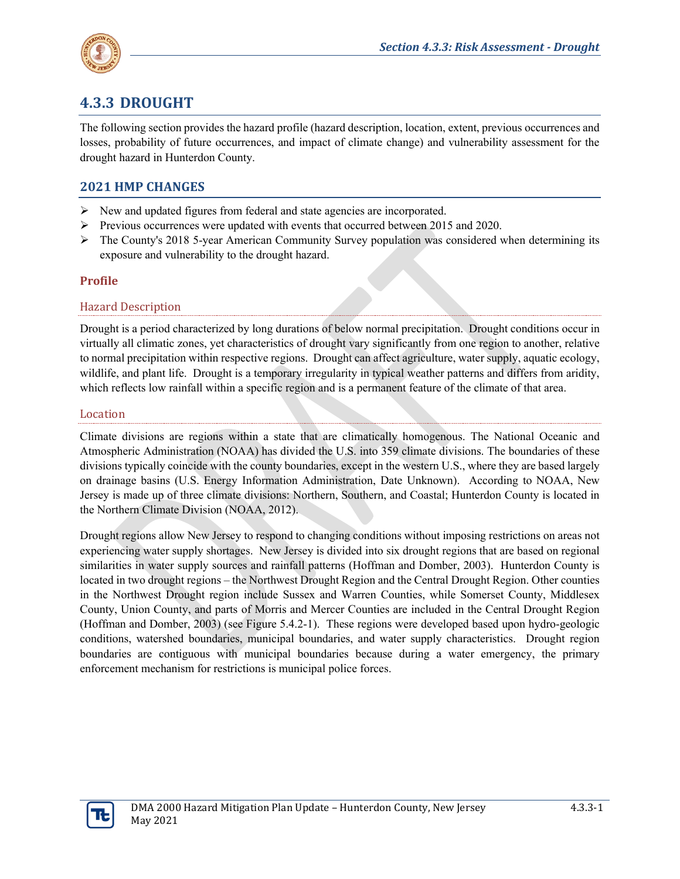

# **4.3.3 DROUGHT**

The following section provides the hazard profile (hazard description, location, extent, previous occurrences and losses, probability of future occurrences, and impact of climate change) and vulnerability assessment for the drought hazard in Hunterdon County.

# **2021 HMP CHANGES**

- $\triangleright$  New and updated figures from federal and state agencies are incorporated.
- $\triangleright$  Previous occurrences were updated with events that occurred between 2015 and 2020.
- $\triangleright$  The County's 2018 5-year American Community Survey population was considered when determining its exposure and vulnerability to the drought hazard.

### **Profile**

#### Hazard Description

Drought is a period characterized by long durations of below normal precipitation. Drought conditions occur in virtually all climatic zones, yet characteristics of drought vary significantly from one region to another, relative to normal precipitation within respective regions. Drought can affect agriculture, water supply, aquatic ecology, wildlife, and plant life. Drought is a temporary irregularity in typical weather patterns and differs from aridity, which reflects low rainfall within a specific region and is a permanent feature of the climate of that area.

#### Location

Climate divisions are regions within a state that are climatically homogenous. The National Oceanic and Atmospheric Administration (NOAA) has divided the U.S. into 359 climate divisions. The boundaries of these divisions typically coincide with the county boundaries, except in the western U.S., where they are based largely on drainage basins (U.S. Energy Information Administration, Date Unknown). According to NOAA, New Jersey is made up of three climate divisions: Northern, Southern, and Coastal; Hunterdon County is located in the Northern Climate Division (NOAA, 2012).

Drought regions allow New Jersey to respond to changing conditions without imposing restrictions on areas not experiencing water supply shortages. New Jersey is divided into six drought regions that are based on regional similarities in water supply sources and rainfall patterns (Hoffman and Domber, 2003). Hunterdon County is located in two drought regions – the Northwest Drought Region and the Central Drought Region. Other counties in the Northwest Drought region include Sussex and Warren Counties, while Somerset County, Middlesex County, Union County, and parts of Morris and Mercer Counties are included in the Central Drought Region (Hoffman and Domber, 2003) (see Figure 5.4.2-1). These regions were developed based upon hydro-geologic conditions, watershed boundaries, municipal boundaries, and water supply characteristics. Drought region boundaries are contiguous with municipal boundaries because during a water emergency, the primary enforcement mechanism for restrictions is municipal police forces.

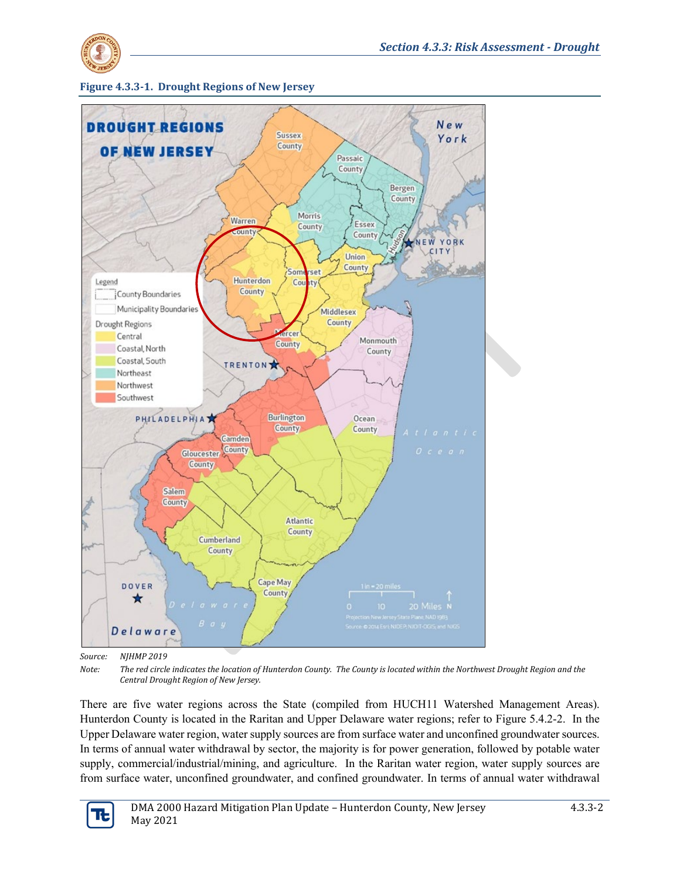





*Source: NJHMP 2019*

*Note: The red circle indicates the location of Hunterdon County. The County is located within the Northwest Drought Region and the Central Drought Region of New Jersey.*

There are five water regions across the State (compiled from HUCH11 Watershed Management Areas). Hunterdon County is located in the Raritan and Upper Delaware water regions; refer to Figure 5.4.2-2. In the Upper Delaware water region, water supply sources are from surface water and unconfined groundwater sources. In terms of annual water withdrawal by sector, the majority is for power generation, followed by potable water supply, commercial/industrial/mining, and agriculture. In the Raritan water region, water supply sources are from surface water, unconfined groundwater, and confined groundwater. In terms of annual water withdrawal

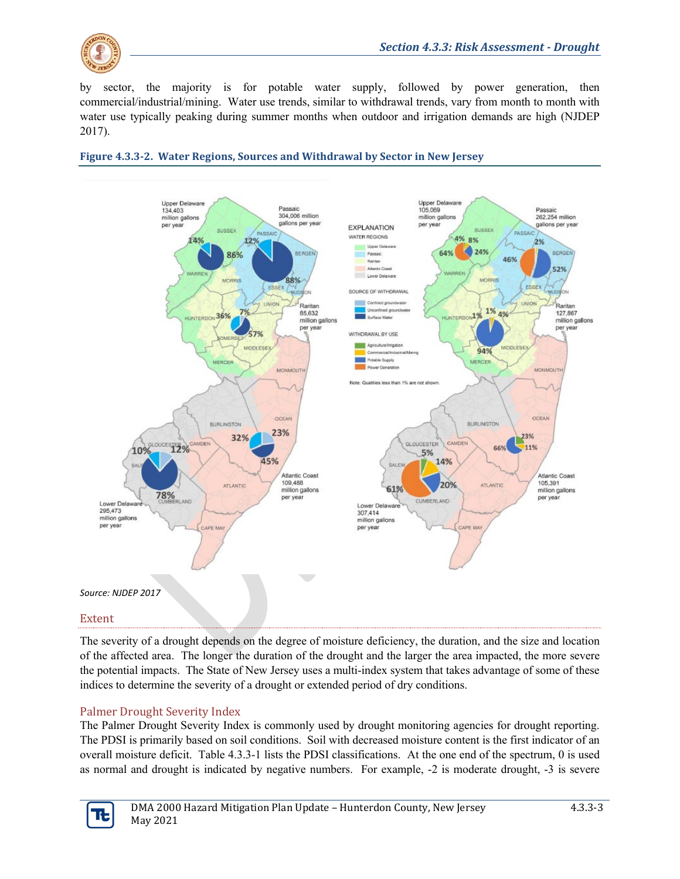

by sector, the majority is for potable water supply, followed by power generation, then commercial/industrial/mining. Water use trends, similar to withdrawal trends, vary from month to month with water use typically peaking during summer months when outdoor and irrigation demands are high (NJDEP 2017).





#### Extent

The severity of a drought depends on the degree of moisture deficiency, the duration, and the size and location of the affected area. The longer the duration of the drought and the larger the area impacted, the more severe the potential impacts. The State of New Jersey uses a multi-index system that takes advantage of some of these indices to determine the severity of a drought or extended period of dry conditions.

#### Palmer Drought Severity Index

The Palmer Drought Severity Index is commonly used by drought monitoring agencies for drought reporting. The PDSI is primarily based on soil conditions. Soil with decreased moisture content is the first indicator of an overall moisture deficit. Table 4.3.3-1 lists the PDSI classifications. At the one end of the spectrum, 0 is used as normal and drought is indicated by negative numbers. For example, -2 is moderate drought, -3 is severe

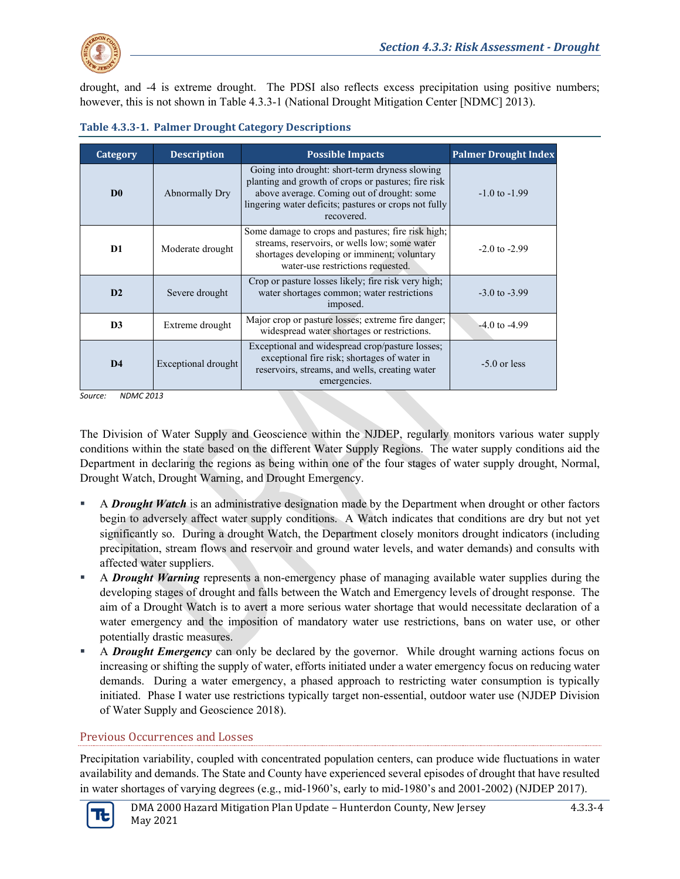

drought, and -4 is extreme drought. The PDSI also reflects excess precipitation using positive numbers; however, this is not shown in Table 4.3.3-1 (National Drought Mitigation Center [NDMC] 2013).

| Category       | <b>Description</b>                                                                                                                                                                       | <b>Possible Impacts</b>                                                                                                                                                                                                    | <b>Palmer Drought Index</b> |
|----------------|------------------------------------------------------------------------------------------------------------------------------------------------------------------------------------------|----------------------------------------------------------------------------------------------------------------------------------------------------------------------------------------------------------------------------|-----------------------------|
| D <sub>0</sub> | Abnormally Dry                                                                                                                                                                           | Going into drought: short-term dryness slowing<br>planting and growth of crops or pastures; fire risk<br>above average. Coming out of drought: some<br>lingering water deficits; pastures or crops not fully<br>recovered. | $-1.0$ to $-1.99$           |
| D1             | Moderate drought                                                                                                                                                                         | Some damage to crops and pastures; fire risk high;<br>streams, reservoirs, or wells low; some water<br>shortages developing or imminent; voluntary<br>water-use restrictions requested.                                    | $-2.0$ to $-2.99$           |
| D <sub>2</sub> | Severe drought                                                                                                                                                                           | Crop or pasture losses likely; fire risk very high;<br>water shortages common; water restrictions<br>imposed.                                                                                                              | $-3.0$ to $-3.99$           |
| D <sub>3</sub> | Extreme drought                                                                                                                                                                          | Major crop or pasture losses; extreme fire danger;<br>widespread water shortages or restrictions.                                                                                                                          | $-4.0$ to $-4.99$           |
| D <sub>4</sub> | Exceptional and widespread crop/pasture losses;<br>exceptional fire risk; shortages of water in<br>Exceptional drought<br>reservoirs, streams, and wells, creating water<br>emergencies. |                                                                                                                                                                                                                            | $-5.0$ or less              |

| <b>Table 4.3.3-1. Palmer Drought Category Descriptions</b> |  |  |
|------------------------------------------------------------|--|--|
|                                                            |  |  |

*Source: NDMC 2013*

The Division of Water Supply and Geoscience within the NJDEP, regularly monitors various water supply conditions within the state based on the different Water Supply Regions. The water supply conditions aid the Department in declaring the regions as being within one of the four stages of water supply drought, Normal, Drought Watch, Drought Warning, and Drought Emergency.

- A *Drought Watch* is an administrative designation made by the Department when drought or other factors begin to adversely affect water supply conditions. A Watch indicates that conditions are dry but not yet significantly so. During a drought Watch, the Department closely monitors drought indicators (including precipitation, stream flows and reservoir and ground water levels, and water demands) and consults with affected water suppliers.
- A *Drought Warning* represents a non-emergency phase of managing available water supplies during the developing stages of drought and falls between the Watch and Emergency levels of drought response. The aim of a Drought Watch is to avert a more serious water shortage that would necessitate declaration of a water emergency and the imposition of mandatory water use restrictions, bans on water use, or other potentially drastic measures.
- A *Drought Emergency* can only be declared by the governor. While drought warning actions focus on increasing or shifting the supply of water, efforts initiated under a water emergency focus on reducing water demands. During a water emergency, a phased approach to restricting water consumption is typically initiated. Phase I water use restrictions typically target non-essential, outdoor water use (NJDEP Division of Water Supply and Geoscience 2018).

#### Previous Occurrences and Losses

Precipitation variability, coupled with concentrated population centers, can produce wide fluctuations in water availability and demands. The State and County have experienced several episodes of drought that have resulted in water shortages of varying degrees (e.g., mid-1960's, early to mid-1980's and 2001-2002) (NJDEP 2017).

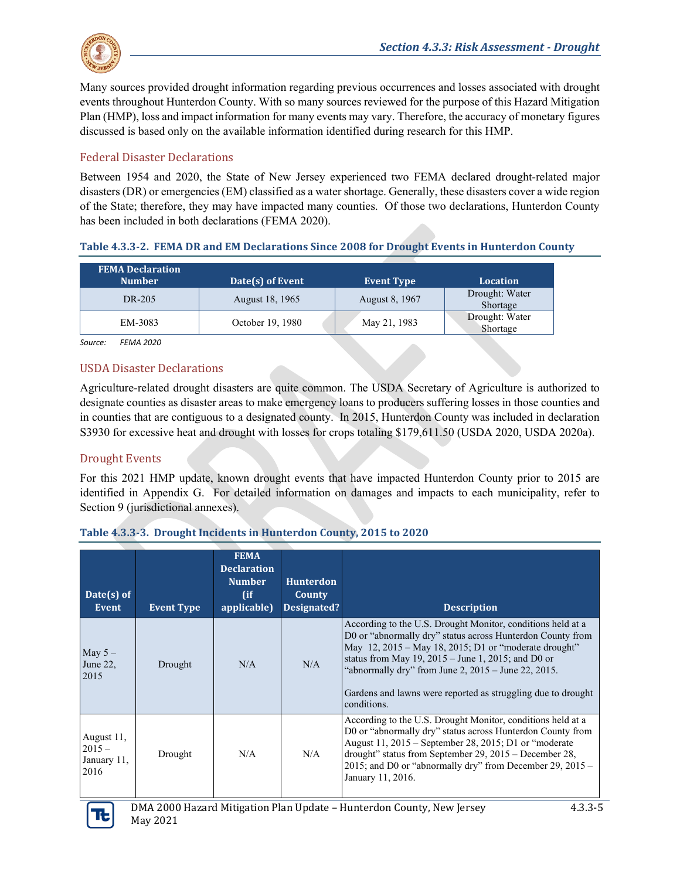

Many sources provided drought information regarding previous occurrences and losses associated with drought events throughout Hunterdon County. With so many sources reviewed for the purpose of this Hazard Mitigation Plan (HMP), loss and impact information for many events may vary. Therefore, the accuracy of monetary figures discussed is based only on the available information identified during research for this HMP.

#### Federal Disaster Declarations

Between 1954 and 2020, the State of New Jersey experienced two FEMA declared drought-related major disasters (DR) or emergencies (EM) classified as a water shortage. Generally, these disasters cover a wide region of the State; therefore, they may have impacted many counties. Of those two declarations, Hunterdon County has been included in both declarations (FEMA 2020).

| <b>FEMA Declaration</b><br><b>Number</b> | Date(s) of Event | <b>Event Type</b> | <b>Location</b>            |
|------------------------------------------|------------------|-------------------|----------------------------|
| DR-205                                   | August 18, 1965  | August 8, 1967    | Drought: Water<br>Shortage |
| EM-3083                                  | October 19, 1980 | May 21, 1983      | Drought: Water<br>Shortage |

#### **Table 4.3.3-2. FEMA DR and EM Declarations Since 2008 for Drought Events in Hunterdon County**

*Source: FEMA 2020*

#### USDA Disaster Declarations

Agriculture-related drought disasters are quite common. The USDA Secretary of Agriculture is authorized to designate counties as disaster areas to make emergency loans to producers suffering losses in those counties and in counties that are contiguous to a designated county. In 2015, Hunterdon County was included in declaration S3930 for excessive heat and drought with losses for crops totaling \$179,611.50 (USDA 2020, USDA 2020a).

#### Drought Events

For this 2021 HMP update, known drought events that have impacted Hunterdon County prior to 2015 are identified in Appendix G. For detailed information on damages and impacts to each municipality, refer to Section 9 (jurisdictional annexes).

#### **Table 4.3.3-3. Drought Incidents in Hunterdon County, 2015 to 2020**

| Date(s) of<br>Event                           | <b>Event Type</b> | <b>FEMA</b><br><b>Declaration</b><br><b>Number</b><br>(ii)<br>applicable) | <b>Hunterdon</b><br>County<br>Designated? | <b>Description</b>                                                                                                                                                                                                                                                                                                                                                                            |
|-----------------------------------------------|-------------------|---------------------------------------------------------------------------|-------------------------------------------|-----------------------------------------------------------------------------------------------------------------------------------------------------------------------------------------------------------------------------------------------------------------------------------------------------------------------------------------------------------------------------------------------|
| May $5-$<br>June 22,<br>2015                  | Drought           | N/A                                                                       | N/A                                       | According to the U.S. Drought Monitor, conditions held at a<br>D0 or "abnormally dry" status across Hunterdon County from<br>May $12$ , $2015 -$ May 18, $2015$ ; D1 or "moderate drought"<br>status from May $19, 2015 -$ June 1, 2015; and D0 or<br>"abnormally dry" from June 2, $2015 -$ June 22, $2015$ .<br>Gardens and lawns were reported as struggling due to drought<br>conditions. |
| August 11,<br>$2015 -$<br>January 11,<br>2016 | Drought           | N/A                                                                       | N/A                                       | According to the U.S. Drought Monitor, conditions held at a<br>D0 or "abnormally dry" status across Hunterdon County from<br>August 11, 2015 – September 28, 2015; D1 or "moderate<br>drought" status from September 29, 2015 – December 28,<br>2015; and D0 or "abnormally dry" from December 29, $2015 -$<br>January 11, 2016.                                                              |

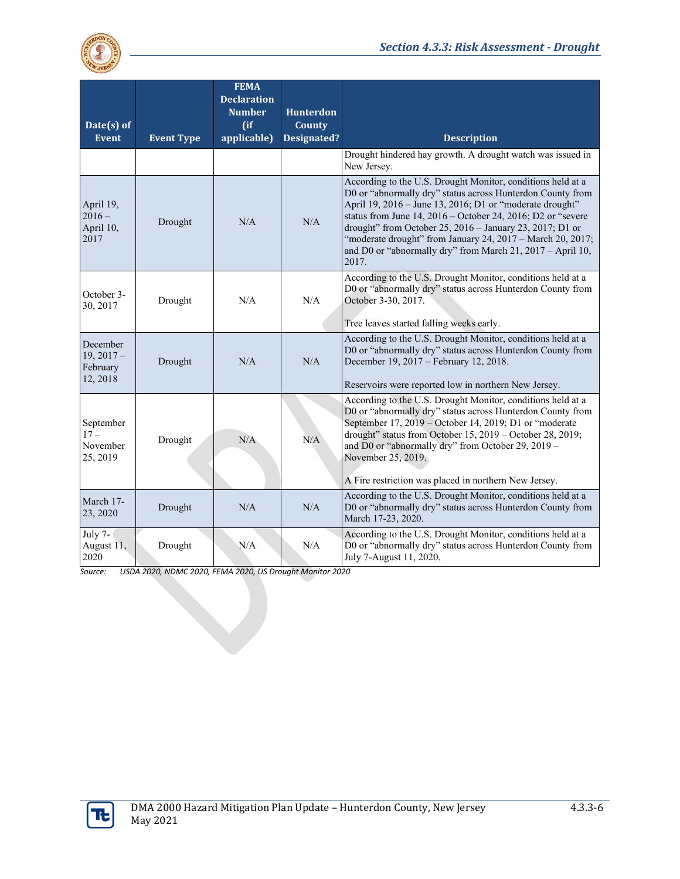

| Date(s) of<br><b>Event</b>                       | <b>Event Type</b> | <b>FEMA</b><br><b>Declaration</b><br><b>Number</b><br>$($ if<br>applicable) | <b>Hunterdon</b><br>County<br><b>Designated?</b> | <b>Description</b>                                                                                                                                                                                                                                                                                                                                                                                                                                      |
|--------------------------------------------------|-------------------|-----------------------------------------------------------------------------|--------------------------------------------------|---------------------------------------------------------------------------------------------------------------------------------------------------------------------------------------------------------------------------------------------------------------------------------------------------------------------------------------------------------------------------------------------------------------------------------------------------------|
|                                                  |                   |                                                                             |                                                  | Drought hindered hay growth. A drought watch was issued in<br>New Jersey.                                                                                                                                                                                                                                                                                                                                                                               |
| April 19,<br>$2016 -$<br>April 10,<br>2017       | Drought           | N/A                                                                         | N/A                                              | According to the U.S. Drought Monitor, conditions held at a<br>D0 or "abnormally dry" status across Hunterdon County from<br>April 19, 2016 - June 13, 2016; D1 or "moderate drought"<br>status from June $14, 2016$ – October 24, 2016; D2 or "severe<br>drought" from October 25, 2016 - January 23, 2017; D1 or<br>"moderate drought" from January 24, 2017 - March 20, 2017;<br>and D0 or "abnormally dry" from March 21, 2017 - April 10,<br>2017. |
| October 3-<br>30, 2017                           | Drought           | N/A                                                                         | N/A                                              | According to the U.S. Drought Monitor, conditions held at a<br>D0 or "abnormally dry" status across Hunterdon County from<br>October 3-30, 2017.<br>Tree leaves started falling weeks early.                                                                                                                                                                                                                                                            |
| December<br>$19, 2017 -$<br>February<br>12, 2018 | Drought           | N/A                                                                         | N/A                                              | According to the U.S. Drought Monitor, conditions held at a<br>D0 or "abnormally dry" status across Hunterdon County from<br>December 19, 2017 – February 12, 2018.<br>Reservoirs were reported low in northern New Jersey.                                                                                                                                                                                                                             |
| September<br>$17 -$<br>November<br>25, 2019      | Drought           | N/A                                                                         | N/A                                              | According to the U.S. Drought Monitor, conditions held at a<br>D0 or "abnormally dry" status across Hunterdon County from<br>September 17, 2019 – October 14, 2019; D1 or "moderate<br>drought" status from October 15, 2019 - October 28, 2019;<br>and D0 or "abnormally dry" from October 29, 2019 -<br>November 25, 2019.<br>A Fire restriction was placed in northern New Jersey.                                                                   |
| March 17-<br>23, 2020                            | Drought           | N/A                                                                         | N/A                                              | According to the U.S. Drought Monitor, conditions held at a<br>D0 or "abnormally dry" status across Hunterdon County from<br>March 17-23, 2020.                                                                                                                                                                                                                                                                                                         |
| July 7-<br>August 11,<br>2020                    | Drought           | N/A                                                                         | N/A                                              | According to the U.S. Drought Monitor, conditions held at a<br>D0 or "abnormally dry" status across Hunterdon County from<br>July 7-August 11, 2020.                                                                                                                                                                                                                                                                                                    |

Source: *Source: USDA 2020, NDMC 2020, FEMA 2020, US Drought Monitor 2020*

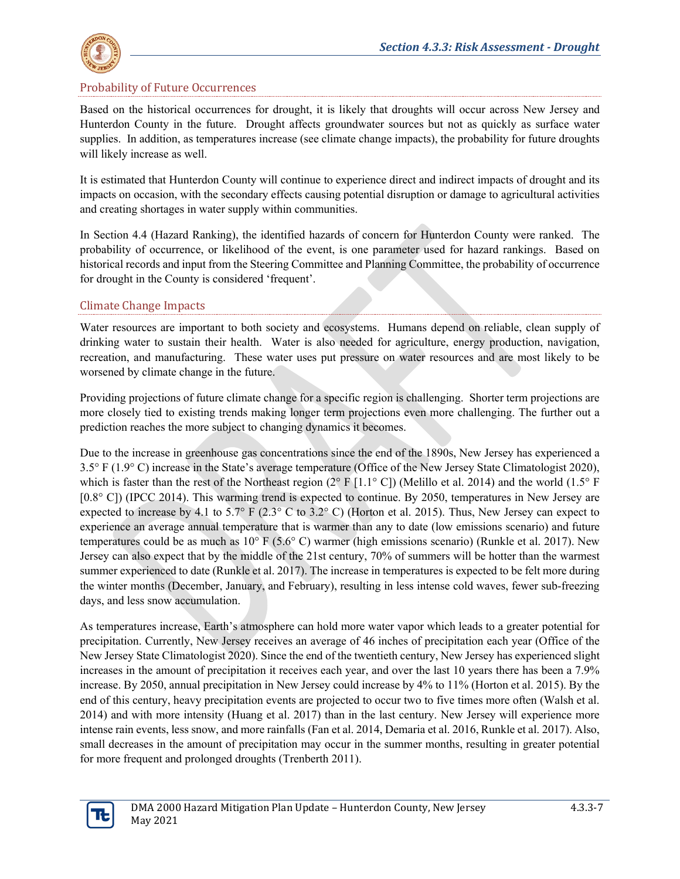

#### Probability of Future Occurrences

Based on the historical occurrences for drought, it is likely that droughts will occur across New Jersey and Hunterdon County in the future. Drought affects groundwater sources but not as quickly as surface water supplies. In addition, as temperatures increase (see climate change impacts), the probability for future droughts will likely increase as well.

It is estimated that Hunterdon County will continue to experience direct and indirect impacts of drought and its impacts on occasion, with the secondary effects causing potential disruption or damage to agricultural activities and creating shortages in water supply within communities.

In Section 4.4 (Hazard Ranking), the identified hazards of concern for Hunterdon County were ranked. The probability of occurrence, or likelihood of the event, is one parameter used for hazard rankings. Based on historical records and input from the Steering Committee and Planning Committee, the probability of occurrence for drought in the County is considered 'frequent'.

#### Climate Change Impacts

Water resources are important to both society and ecosystems. Humans depend on reliable, clean supply of drinking water to sustain their health. Water is also needed for agriculture, energy production, navigation, recreation, and manufacturing. These water uses put pressure on water resources and are most likely to be worsened by climate change in the future.

Providing projections of future climate change for a specific region is challenging. Shorter term projections are more closely tied to existing trends making longer term projections even more challenging. The further out a prediction reaches the more subject to changing dynamics it becomes.

Due to the increase in greenhouse gas concentrations since the end of the 1890s, New Jersey has experienced a 3.5° F (1.9° C) increase in the State's average temperature (Office of the New Jersey State Climatologist 2020), which is faster than the rest of the Northeast region  $(2^{\circ} F [1.1^{\circ} C])$  (Melillo et al. 2014) and the world  $(1.5^{\circ} F)$ [0.8° C]) (IPCC 2014). This warming trend is expected to continue. By 2050, temperatures in New Jersey are expected to increase by 4.1 to 5.7° F (2.3° C to 3.2° C) (Horton et al. 2015). Thus, New Jersey can expect to experience an average annual temperature that is warmer than any to date (low emissions scenario) and future temperatures could be as much as 10° F (5.6° C) warmer (high emissions scenario) (Runkle et al. 2017). New Jersey can also expect that by the middle of the 21st century, 70% of summers will be hotter than the warmest summer experienced to date (Runkle et al. 2017). The increase in temperatures is expected to be felt more during the winter months (December, January, and February), resulting in less intense cold waves, fewer sub-freezing days, and less snow accumulation.

As temperatures increase, Earth's atmosphere can hold more water vapor which leads to a greater potential for precipitation. Currently, New Jersey receives an average of 46 inches of precipitation each year (Office of the New Jersey State Climatologist 2020). Since the end of the twentieth century, New Jersey has experienced slight increases in the amount of precipitation it receives each year, and over the last 10 years there has been a 7.9% increase. By 2050, annual precipitation in New Jersey could increase by 4% to 11% (Horton et al. 2015). By the end of this century, heavy precipitation events are projected to occur two to five times more often (Walsh et al. 2014) and with more intensity (Huang et al. 2017) than in the last century. New Jersey will experience more intense rain events, less snow, and more rainfalls (Fan et al. 2014, Demaria et al. 2016, Runkle et al. 2017). Also, small decreases in the amount of precipitation may occur in the summer months, resulting in greater potential for more frequent and prolonged droughts (Trenberth 2011).

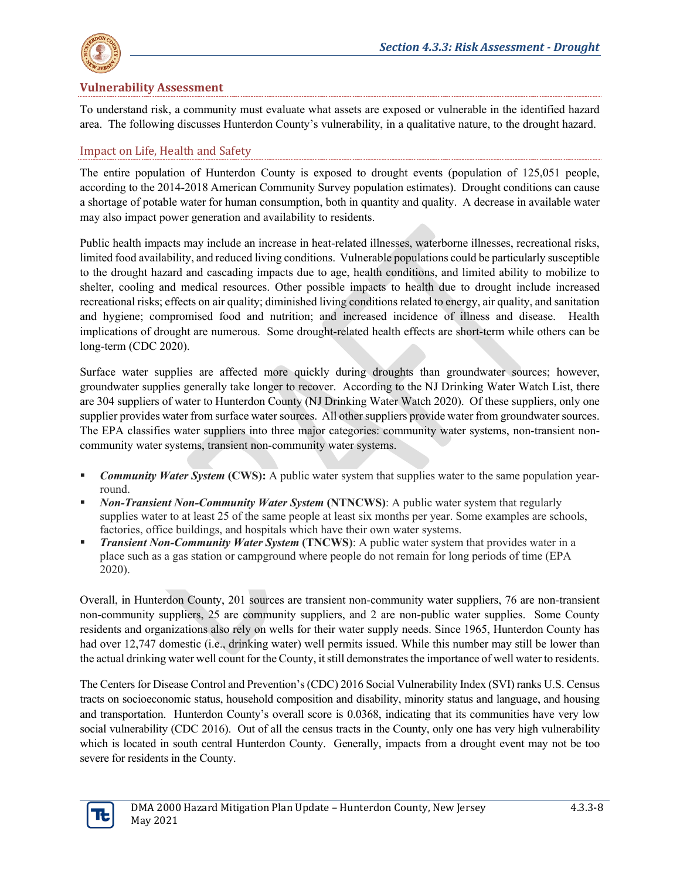

#### **Vulnerability Assessment**

To understand risk, a community must evaluate what assets are exposed or vulnerable in the identified hazard area. The following discusses Hunterdon County's vulnerability, in a qualitative nature, to the drought hazard.

#### Impact on Life, Health and Safety

The entire population of Hunterdon County is exposed to drought events (population of 125,051 people, according to the 2014-2018 American Community Survey population estimates). Drought conditions can cause a shortage of potable water for human consumption, both in quantity and quality. A decrease in available water may also impact power generation and availability to residents.

Public health impacts may include an increase in heat-related illnesses, waterborne illnesses, recreational risks, limited food availability, and reduced living conditions. Vulnerable populations could be particularly susceptible to the drought hazard and cascading impacts due to age, health conditions, and limited ability to mobilize to shelter, cooling and medical resources. Other possible impacts to health due to drought include increased recreational risks; effects on air quality; diminished living conditions related to energy, air quality, and sanitation and hygiene; compromised food and nutrition; and increased incidence of illness and disease. Health implications of drought are numerous. Some drought-related health effects are short-term while others can be long-term (CDC 2020).

Surface water supplies are affected more quickly during droughts than groundwater sources; however, groundwater supplies generally take longer to recover. According to the NJ Drinking Water Watch List, there are 304 suppliers of water to Hunterdon County (NJ Drinking Water Watch 2020). Of these suppliers, only one supplier provides water from surface water sources. All other suppliers provide water from groundwater sources. The EPA classifies water suppliers into three major categories: community water systems, non-transient noncommunity water systems, transient non-community water systems.

- *Community Water System* **(CWS):** A public water system that supplies water to the same population yearround.
- *Non-Transient Non-Community Water System* **(NTNCWS)**: A public water system that regularly supplies water to at least 25 of the same people at least six months per year. Some examples are schools, factories, office buildings, and hospitals which have their own water systems.
- **Transient Non-Community Water System (TNCWS):** A public water system that provides water in a place such as a gas station or campground where people do not remain for long periods of time (EPA 2020).

Overall, in Hunterdon County, 201 sources are transient non-community water suppliers, 76 are non-transient non-community suppliers, 25 are community suppliers, and 2 are non-public water supplies. Some County residents and organizations also rely on wells for their water supply needs. Since 1965, Hunterdon County has had over 12,747 domestic (i.e., drinking water) well permits issued. While this number may still be lower than the actual drinking water well count for the County, it still demonstrates the importance of well water to residents.

The Centers for Disease Control and Prevention's (CDC) 2016 Social Vulnerability Index (SVI) ranks U.S. Census tracts on socioeconomic status, household composition and disability, minority status and language, and housing and transportation. Hunterdon County's overall score is 0.0368, indicating that its communities have very low social vulnerability (CDC 2016). Out of all the census tracts in the County, only one has very high vulnerability which is located in south central Hunterdon County. Generally, impacts from a drought event may not be too severe for residents in the County.

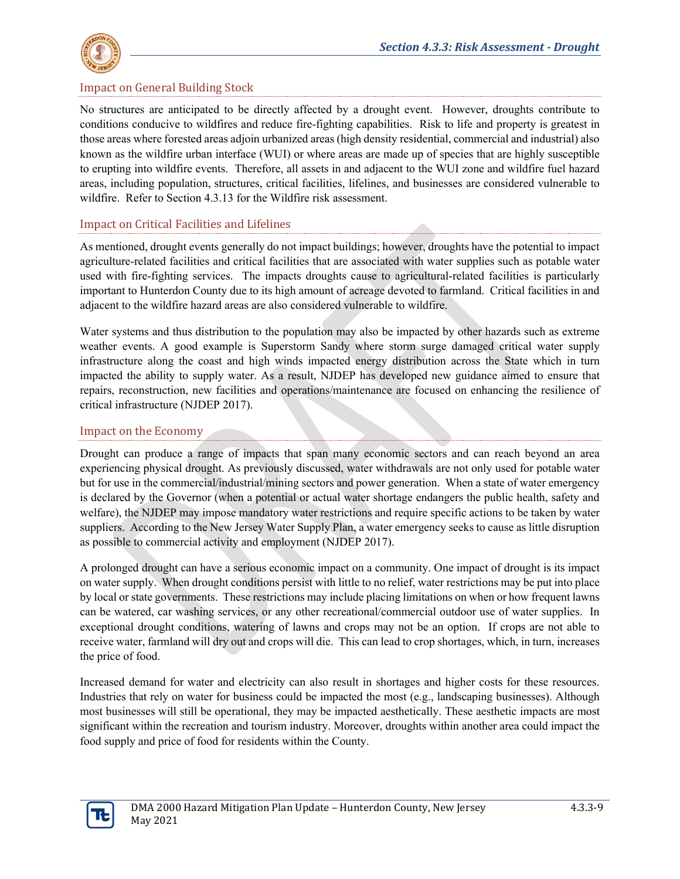

#### Impact on General Building Stock

No structures are anticipated to be directly affected by a drought event. However, droughts contribute to conditions conducive to wildfires and reduce fire-fighting capabilities. Risk to life and property is greatest in those areas where forested areas adjoin urbanized areas (high density residential, commercial and industrial) also known as the wildfire urban interface (WUI) or where areas are made up of species that are highly susceptible to erupting into wildfire events. Therefore, all assets in and adjacent to the WUI zone and wildfire fuel hazard areas, including population, structures, critical facilities, lifelines, and businesses are considered vulnerable to wildfire. Refer to Section 4.3.13 for the Wildfire risk assessment.

#### Impact on Critical Facilities and Lifelines

As mentioned, drought events generally do not impact buildings; however, droughts have the potential to impact agriculture-related facilities and critical facilities that are associated with water supplies such as potable water used with fire-fighting services. The impacts droughts cause to agricultural-related facilities is particularly important to Hunterdon County due to its high amount of acreage devoted to farmland. Critical facilities in and adjacent to the wildfire hazard areas are also considered vulnerable to wildfire.

Water systems and thus distribution to the population may also be impacted by other hazards such as extreme weather events. A good example is Superstorm Sandy where storm surge damaged critical water supply infrastructure along the coast and high winds impacted energy distribution across the State which in turn impacted the ability to supply water. As a result, NJDEP has developed new guidance aimed to ensure that repairs, reconstruction, new facilities and operations/maintenance are focused on enhancing the resilience of critical infrastructure (NJDEP 2017).

#### Impact on the Economy

Drought can produce a range of impacts that span many economic sectors and can reach beyond an area experiencing physical drought. As previously discussed, water withdrawals are not only used for potable water but for use in the commercial/industrial/mining sectors and power generation. When a state of water emergency is declared by the Governor (when a potential or actual water shortage endangers the public health, safety and welfare), the NJDEP may impose mandatory water restrictions and require specific actions to be taken by water suppliers. According to the New Jersey Water Supply Plan, a water emergency seeks to cause as little disruption as possible to commercial activity and employment (NJDEP 2017).

A prolonged drought can have a serious economic impact on a community. One impact of drought is its impact on water supply. When drought conditions persist with little to no relief, water restrictions may be put into place by local or state governments. These restrictions may include placing limitations on when or how frequent lawns can be watered, car washing services, or any other recreational/commercial outdoor use of water supplies. In exceptional drought conditions, watering of lawns and crops may not be an option. If crops are not able to receive water, farmland will dry out and crops will die. This can lead to crop shortages, which, in turn, increases the price of food.

Increased demand for water and electricity can also result in shortages and higher costs for these resources. Industries that rely on water for business could be impacted the most (e.g., landscaping businesses). Although most businesses will still be operational, they may be impacted aesthetically. These aesthetic impacts are most significant within the recreation and tourism industry. Moreover, droughts within another area could impact the food supply and price of food for residents within the County.

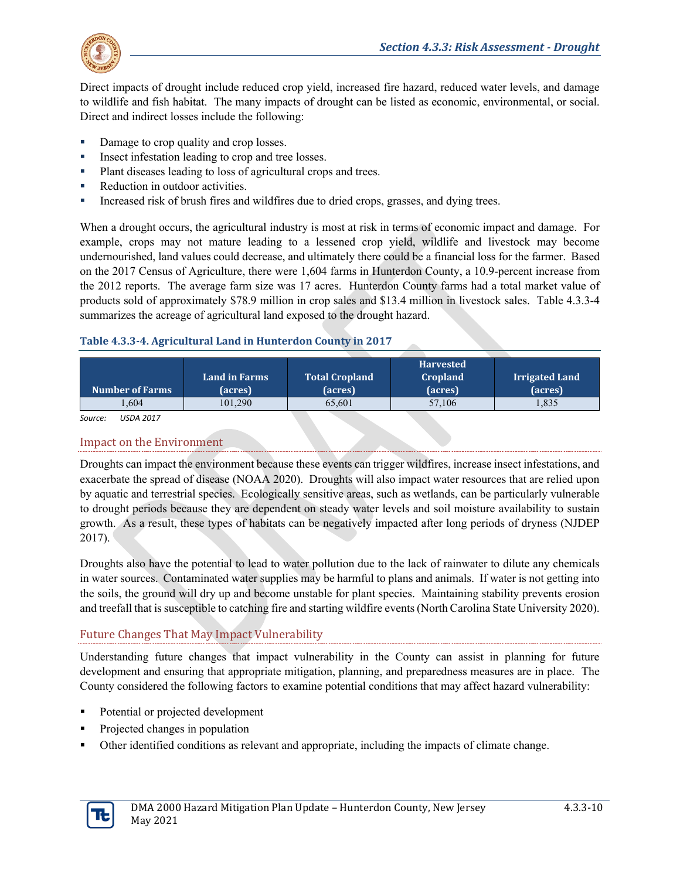

Direct impacts of drought include reduced crop yield, increased fire hazard, reduced water levels, and damage to wildlife and fish habitat. The many impacts of drought can be listed as economic, environmental, or social. Direct and indirect losses include the following:

- Damage to crop quality and crop losses.
- Insect infestation leading to crop and tree losses.
- Plant diseases leading to loss of agricultural crops and trees.
- Reduction in outdoor activities.
- Increased risk of brush fires and wildfires due to dried crops, grasses, and dying trees.

When a drought occurs, the agricultural industry is most at risk in terms of economic impact and damage. For example, crops may not mature leading to a lessened crop yield, wildlife and livestock may become undernourished, land values could decrease, and ultimately there could be a financial loss for the farmer. Based on the 2017 Census of Agriculture, there were 1,604 farms in Hunterdon County, a 10.9-percent increase from the 2012 reports. The average farm size was 17 acres. Hunterdon County farms had a total market value of products sold of approximately \$78.9 million in crop sales and \$13.4 million in livestock sales. [Table 4.3.3-4](#page-9-0) summarizes the acreage of agricultural land exposed to the drought hazard.

#### <span id="page-9-0"></span>**Table 4.3.3-4. Agricultural Land in Hunterdon County in 2017**

| <b>Number of Farms</b> | <b>Land in Farms</b><br>(acres) | <b>Total Cropland</b><br>(acres) | <b>Harvested</b><br><b>Cropland</b><br>(acres) | <b>Irrigated Land</b><br>(acres) |
|------------------------|---------------------------------|----------------------------------|------------------------------------------------|----------------------------------|
| .604                   | 101.290                         | 65,601                           | 57.106                                         | 1,835                            |

*Source: USDA 2017*

## Impact on the Environment

Droughts can impact the environment because these events can trigger wildfires, increase insect infestations, and exacerbate the spread of disease (NOAA 2020). Droughts will also impact water resources that are relied upon by aquatic and terrestrial species. Ecologically sensitive areas, such as wetlands, can be particularly vulnerable to drought periods because they are dependent on steady water levels and soil moisture availability to sustain growth. As a result, these types of habitats can be negatively impacted after long periods of dryness (NJDEP 2017).

Droughts also have the potential to lead to water pollution due to the lack of rainwater to dilute any chemicals in water sources. Contaminated water supplies may be harmful to plans and animals. If water is not getting into the soils, the ground will dry up and become unstable for plant species. Maintaining stability prevents erosion and treefall that is susceptible to catching fire and starting wildfire events(North Carolina State University 2020).

# Future Changes That May Impact Vulnerability

Understanding future changes that impact vulnerability in the County can assist in planning for future development and ensuring that appropriate mitigation, planning, and preparedness measures are in place. The County considered the following factors to examine potential conditions that may affect hazard vulnerability:

- Potential or projected development
- Projected changes in population
- Other identified conditions as relevant and appropriate, including the impacts of climate change.